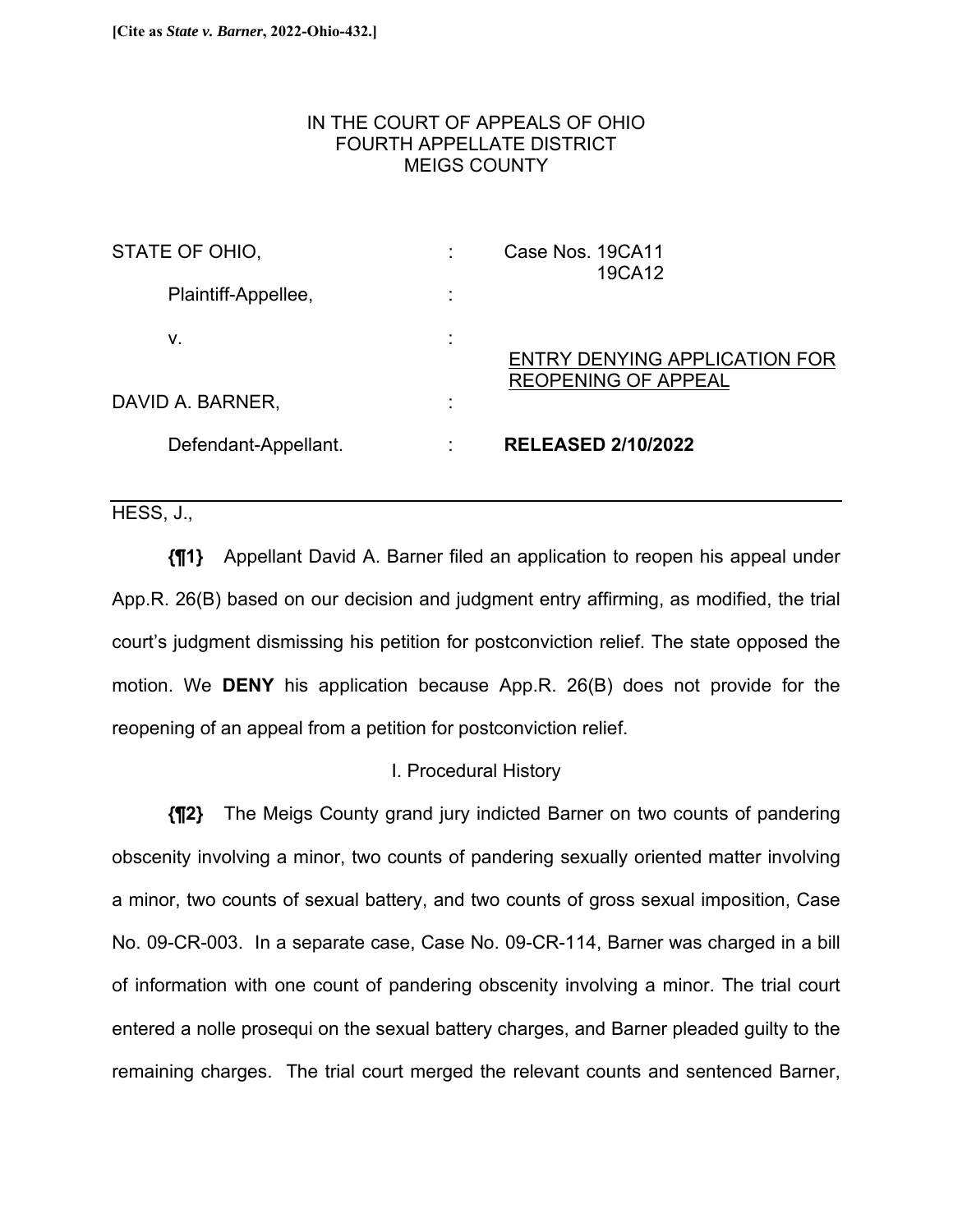# IN THE COURT OF APPEALS OF OHIO FOURTH APPELLATE DISTRICT MEIGS COUNTY

| STATE OF OHIO,       |  | Case Nos. 19CA11<br>19CA12                                         |
|----------------------|--|--------------------------------------------------------------------|
| Plaintiff-Appellee,  |  |                                                                    |
| V.                   |  | <b>ENTRY DENYING APPLICATION FOR</b><br><b>REOPENING OF APPEAL</b> |
| DAVID A. BARNER,     |  |                                                                    |
| Defendant-Appellant. |  | <b>RELEASED 2/10/2022</b>                                          |

HESS, J.,

**{¶1}** Appellant David A. Barner filed an application to reopen his appeal under App.R. 26(B) based on our decision and judgment entry affirming, as modified, the trial court's judgment dismissing his petition for postconviction relief. The state opposed the motion. We **DENY** his application because App.R. 26(B) does not provide for the reopening of an appeal from a petition for postconviction relief.

# I. Procedural History

**{¶2}** The Meigs County grand jury indicted Barner on two counts of pandering obscenity involving a minor, two counts of pandering sexually oriented matter involving a minor, two counts of sexual battery, and two counts of gross sexual imposition, Case No. 09-CR-003. In a separate case, Case No. 09-CR-114, Barner was charged in a bill of information with one count of pandering obscenity involving a minor. The trial court entered a nolle prosequi on the sexual battery charges, and Barner pleaded guilty to the remaining charges. The trial court merged the relevant counts and sentenced Barner,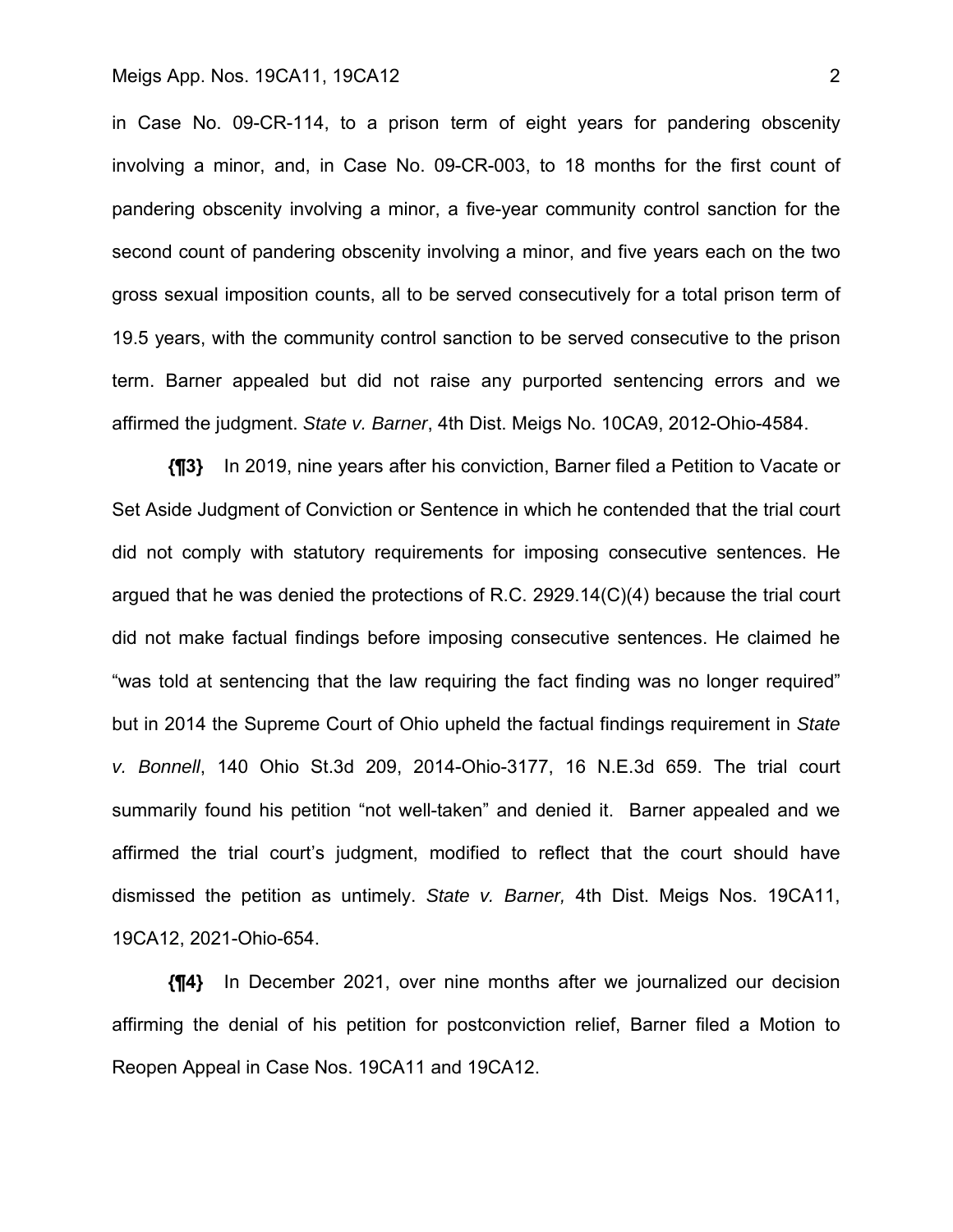in Case No. 09-CR-114, to a prison term of eight years for pandering obscenity involving a minor, and, in Case No. 09-CR-003, to 18 months for the first count of pandering obscenity involving a minor, a five-year community control sanction for the second count of pandering obscenity involving a minor, and five years each on the two gross sexual imposition counts, all to be served consecutively for a total prison term of 19.5 years, with the community control sanction to be served consecutive to the prison term. Barner appealed but did not raise any purported sentencing errors and we affirmed the judgment. *State v. Barner*, 4th Dist. Meigs No. 10CA9, 2012-Ohio-4584.

**{¶3}** In 2019, nine years after his conviction, Barner filed a Petition to Vacate or Set Aside Judgment of Conviction or Sentence in which he contended that the trial court did not comply with statutory requirements for imposing consecutive sentences. He argued that he was denied the protections of R.C. 2929.14(C)(4) because the trial court did not make factual findings before imposing consecutive sentences. He claimed he "was told at sentencing that the law requiring the fact finding was no longer required" but in 2014 the Supreme Court of Ohio upheld the factual findings requirement in *State v. Bonnell*, 140 Ohio St.3d 209, 2014-Ohio-3177, 16 N.E.3d 659. The trial court summarily found his petition "not well-taken" and denied it. Barner appealed and we affirmed the trial court's judgment, modified to reflect that the court should have dismissed the petition as untimely. *State v. Barner,* 4th Dist. Meigs Nos. 19CA11, 19CA12, 2021-Ohio-654.

**{¶4}** In December 2021, over nine months after we journalized our decision affirming the denial of his petition for postconviction relief, Barner filed a Motion to Reopen Appeal in Case Nos. 19CA11 and 19CA12.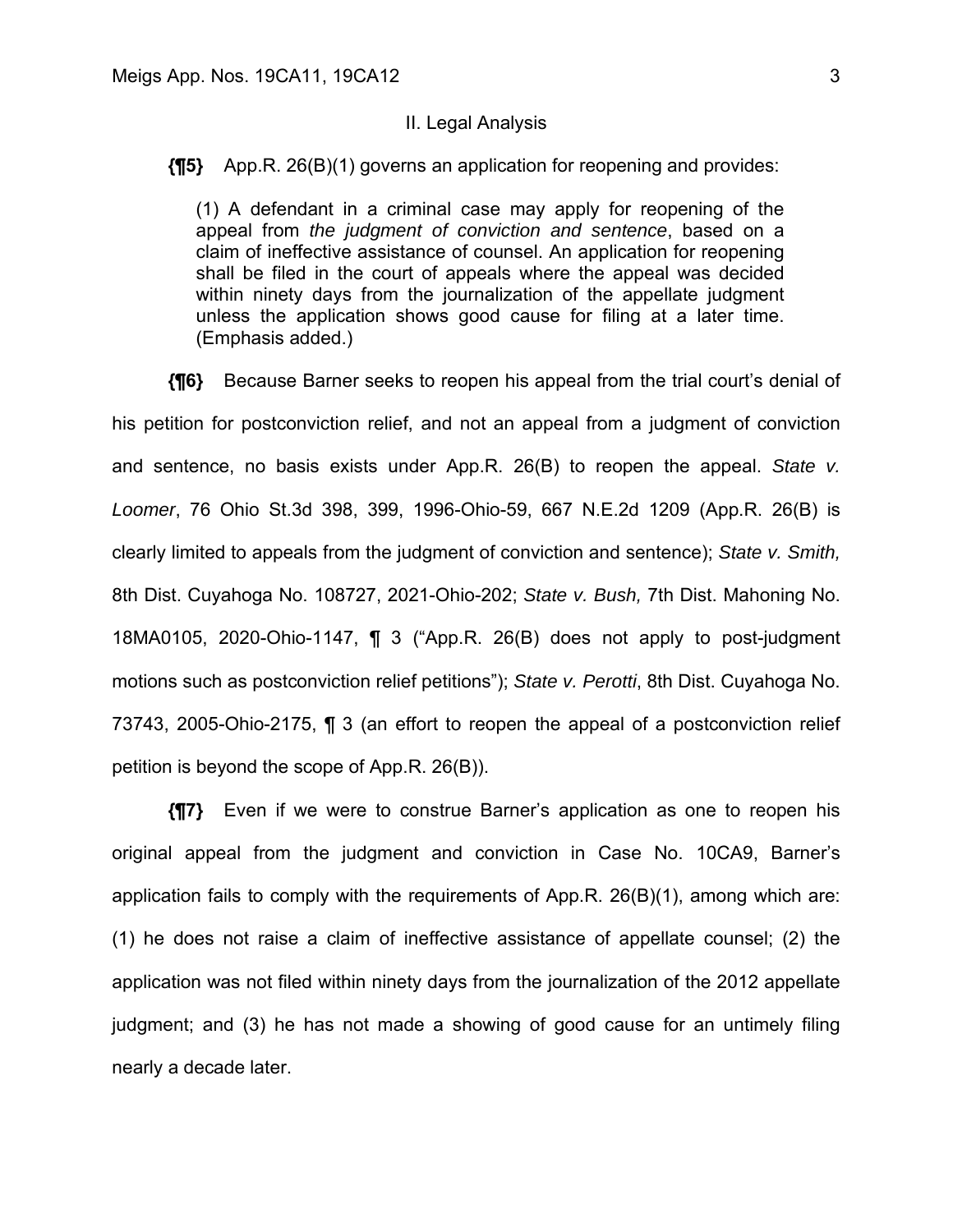#### II. Legal Analysis

**{¶5}** App.R. 26(B)(1) governs an application for reopening and provides:

(1) A defendant in a criminal case may apply for reopening of the appeal from *the judgment of conviction and sentence*, based on a claim of ineffective assistance of counsel. An application for reopening shall be filed in the court of appeals where the appeal was decided within ninety days from the journalization of the appellate judgment unless the application shows good cause for filing at a later time. (Emphasis added.)

**{¶6}** Because Barner seeks to reopen his appeal from the trial court's denial of his petition for postconviction relief, and not an appeal from a judgment of conviction and sentence, no basis exists under App.R. 26(B) to reopen the appeal. *State v. Loomer*, 76 Ohio St.3d 398, 399, 1996-Ohio-59, 667 N.E.2d 1209 (App.R. 26(B) is clearly limited to appeals from the judgment of conviction and sentence); *State v. Smith,* 8th Dist. Cuyahoga No. 108727, 2021-Ohio-202; *State v. Bush,* 7th Dist. Mahoning No. 18MA0105, 2020-Ohio-1147, ¶ 3 ("App.R. 26(B) does not apply to post-judgment motions such as postconviction relief petitions"); *State v. Perotti*, 8th Dist. Cuyahoga No. 73743, 2005-Ohio-2175, ¶ 3 (an effort to reopen the appeal of a postconviction relief petition is beyond the scope of App.R. 26(B)).

**{¶7}** Even if we were to construe Barner's application as one to reopen his original appeal from the judgment and conviction in Case No. 10CA9, Barner's application fails to comply with the requirements of App.R. 26(B)(1), among which are: (1) he does not raise a claim of ineffective assistance of appellate counsel; (2) the application was not filed within ninety days from the journalization of the 2012 appellate judgment; and (3) he has not made a showing of good cause for an untimely filing nearly a decade later.